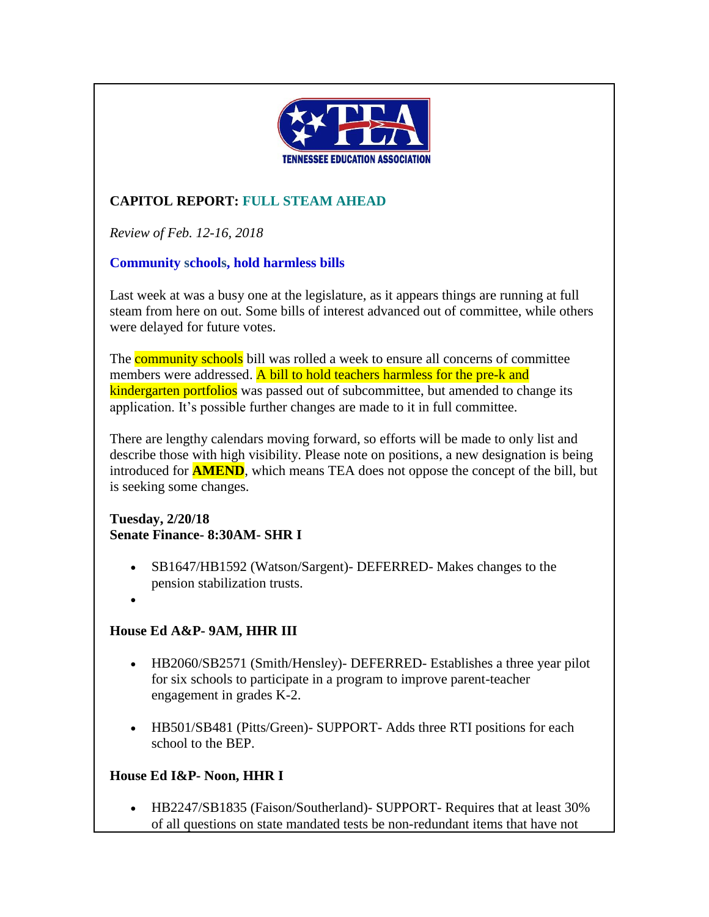

# **CAPITOL REPORT: FULL STEAM AHEAD**

*Review of Feb. 12-16, 2018*

### **Community schools, hold harmless bills**

Last week at was a busy one at the legislature, as it appears things are running at full steam from here on out. Some bills of interest advanced out of committee, while others were delayed for future votes.

The **community schools** bill was rolled a week to ensure all concerns of committee members were addressed. A bill to hold teachers harmless for the pre-k and kindergarten portfolios was passed out of subcommittee, but amended to change its application. It's possible further changes are made to it in full committee.

There are lengthy calendars moving forward, so efforts will be made to only list and describe those with high visibility. Please note on positions, a new designation is being introduced for **AMEND**, which means TEA does not oppose the concept of the bill, but is seeking some changes.

#### **Tuesday, 2/20/18 Senate Finance- 8:30AM- SHR I**

- SB1647/HB1592 (Watson/Sargent)- DEFERRED- Makes changes to the pension stabilization trusts.
- •

# **House Ed A&P- 9AM, HHR III**

- HB2060/SB2571 (Smith/Hensley)- DEFERRED- Establishes a three year pilot for six schools to participate in a program to improve parent-teacher engagement in grades K-2.
- HB501/SB481 (Pitts/Green)- SUPPORT- Adds three RTI positions for each school to the BEP.

# **House Ed I&P- Noon, HHR I**

• HB2247/SB1835 (Faison/Southerland)- SUPPORT- Requires that at least 30% of all questions on state mandated tests be non-redundant items that have not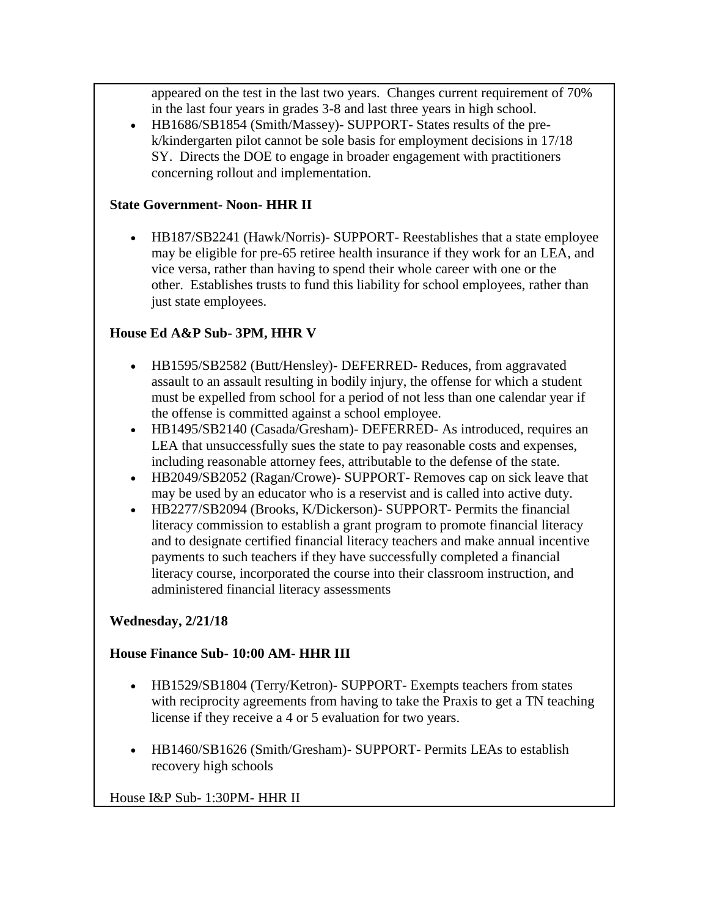appeared on the test in the last two years. Changes current requirement of 70% in the last four years in grades 3-8 and last three years in high school.

• HB1686/SB1854 (Smith/Massey)- SUPPORT- States results of the prek/kindergarten pilot cannot be sole basis for employment decisions in 17/18 SY. Directs the DOE to engage in broader engagement with practitioners concerning rollout and implementation.

#### **State Government- Noon- HHR II**

• HB187/SB2241 (Hawk/Norris)- SUPPORT- Reestablishes that a state employee may be eligible for pre-65 retiree health insurance if they work for an LEA, and vice versa, rather than having to spend their whole career with one or the other. Establishes trusts to fund this liability for school employees, rather than just state employees.

### **House Ed A&P Sub- 3PM, HHR V**

- HB1595/SB2582 (Butt/Hensley)- DEFERRED- Reduces, from aggravated assault to an assault resulting in bodily injury, the offense for which a student must be expelled from school for a period of not less than one calendar year if the offense is committed against a school employee.
- HB1495/SB2140 (Casada/Gresham)- DEFERRED- As introduced, requires an LEA that unsuccessfully sues the state to pay reasonable costs and expenses, including reasonable attorney fees, attributable to the defense of the state.
- HB2049/SB2052 (Ragan/Crowe)- SUPPORT- Removes cap on sick leave that may be used by an educator who is a reservist and is called into active duty.
- HB2277/SB2094 (Brooks, K/Dickerson)- SUPPORT- Permits the financial literacy commission to establish a grant program to promote financial literacy and to designate certified financial literacy teachers and make annual incentive payments to such teachers if they have successfully completed a financial literacy course, incorporated the course into their classroom instruction, and administered financial literacy assessments

# **Wednesday, 2/21/18**

#### **House Finance Sub- 10:00 AM- HHR III**

- HB1529/SB1804 (Terry/Ketron)- SUPPORT- Exempts teachers from states with reciprocity agreements from having to take the Praxis to get a TN teaching license if they receive a 4 or 5 evaluation for two years.
- HB1460/SB1626 (Smith/Gresham) SUPPORT Permits LEAs to establish recovery high schools

House I&P Sub- 1:30PM- HHR II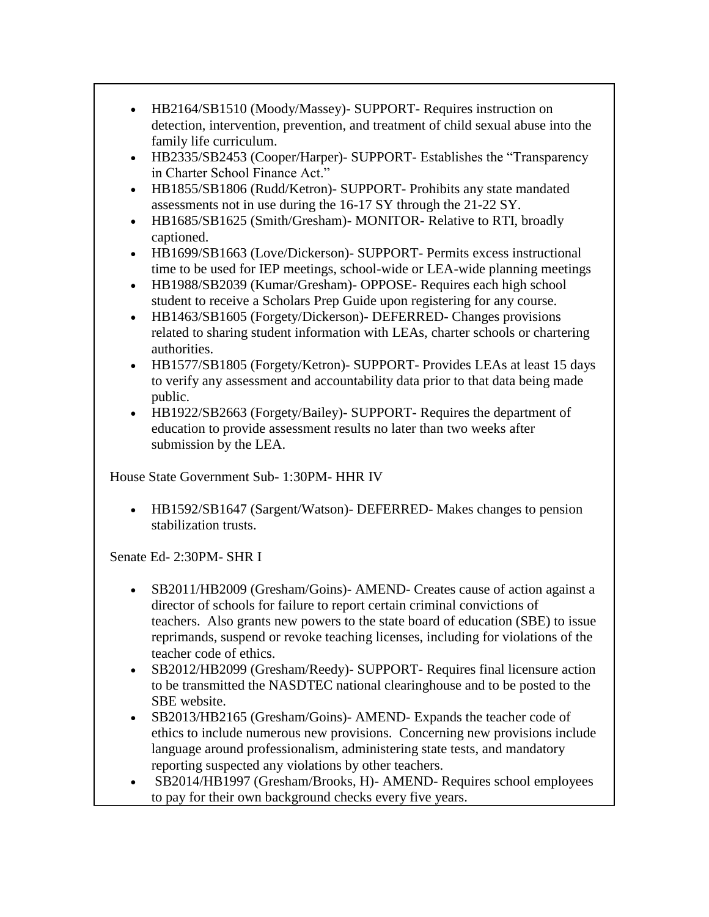- HB2164/SB1510 (Moody/Massey)- SUPPORT- Requires instruction on detection, intervention, prevention, and treatment of child sexual abuse into the family life curriculum.
- HB2335/SB2453 (Cooper/Harper)- SUPPORT- Establishes the "Transparency in Charter School Finance Act."
- HB1855/SB1806 (Rudd/Ketron)- SUPPORT- Prohibits any state mandated assessments not in use during the 16-17 SY through the 21-22 SY.
- HB1685/SB1625 (Smith/Gresham)- MONITOR- Relative to RTI, broadly captioned.
- HB1699/SB1663 (Love/Dickerson) SUPPORT Permits excess instructional time to be used for IEP meetings, school-wide or LEA-wide planning meetings
- HB1988/SB2039 (Kumar/Gresham)- OPPOSE- Requires each high school student to receive a Scholars Prep Guide upon registering for any course.
- HB1463/SB1605 (Forgety/Dickerson)- DEFERRED- Changes provisions related to sharing student information with LEAs, charter schools or chartering authorities.
- HB1577/SB1805 (Forgety/Ketron)- SUPPORT- Provides LEAs at least 15 days to verify any assessment and accountability data prior to that data being made public.
- HB1922/SB2663 (Forgety/Bailey)- SUPPORT- Requires the department of education to provide assessment results no later than two weeks after submission by the LEA.

House State Government Sub- 1:30PM- HHR IV

• HB1592/SB1647 (Sargent/Watson)- DEFERRED- Makes changes to pension stabilization trusts.

Senate Ed- 2:30PM- SHR I

- SB2011/HB2009 (Gresham/Goins)- AMEND- Creates cause of action against a director of schools for failure to report certain criminal convictions of teachers. Also grants new powers to the state board of education (SBE) to issue reprimands, suspend or revoke teaching licenses, including for violations of the teacher code of ethics.
- SB2012/HB2099 (Gresham/Reedy)- SUPPORT- Requires final licensure action to be transmitted the NASDTEC national clearinghouse and to be posted to the SBE website.
- SB2013/HB2165 (Gresham/Goins)- AMEND- Expands the teacher code of ethics to include numerous new provisions. Concerning new provisions include language around professionalism, administering state tests, and mandatory reporting suspected any violations by other teachers.
- SB2014/HB1997 (Gresham/Brooks, H)- AMEND- Requires school employees to pay for their own background checks every five years.